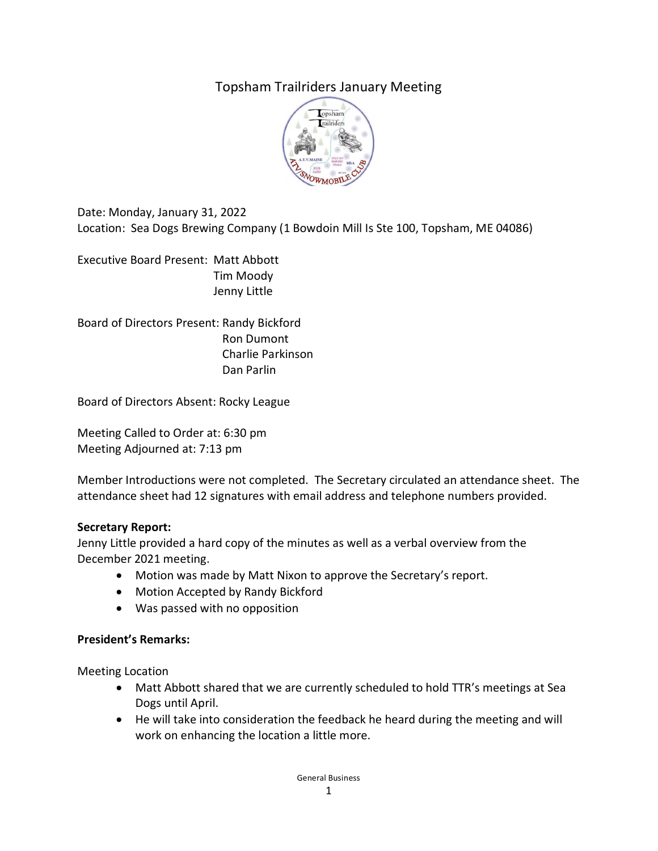# Topsham Trailriders January Meeting



Date: Monday, January 31, 2022 Location: Sea Dogs Brewing Company (1 Bowdoin Mill Is Ste 100, Topsham, ME 04086)

Executive Board Present: Matt Abbott Tim Moody Jenny Little

Board of Directors Present: Randy Bickford Ron Dumont Charlie Parkinson Dan Parlin

Board of Directors Absent: Rocky League

Meeting Called to Order at: 6:30 pm Meeting Adjourned at: 7:13 pm

Member Introductions were not completed. The Secretary circulated an attendance sheet. The attendance sheet had 12 signatures with email address and telephone numbers provided.

#### **Secretary Report:**

Jenny Little provided a hard copy of the minutes as well as a verbal overview from the December 2021 meeting.

- Motion was made by Matt Nixon to approve the Secretary's report.
- Motion Accepted by Randy Bickford
- Was passed with no opposition

#### **President's Remarks:**

Meeting Location

- Matt Abbott shared that we are currently scheduled to hold TTR's meetings at Sea Dogs until April.
- He will take into consideration the feedback he heard during the meeting and will work on enhancing the location a little more.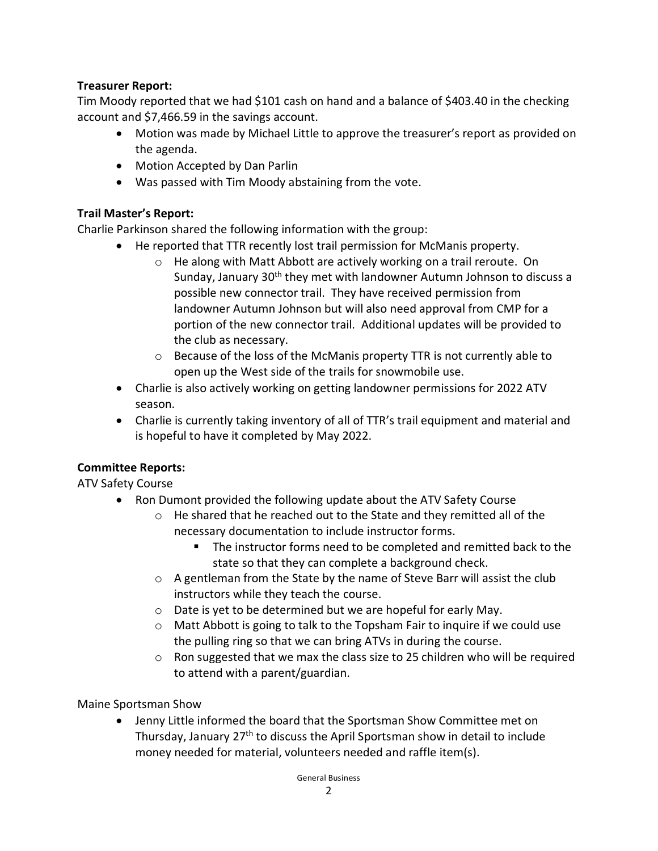## **Treasurer Report:**

Tim Moody reported that we had \$101 cash on hand and a balance of \$403.40 in the checking account and \$7,466.59 in the savings account.

- Motion was made by Michael Little to approve the treasurer's report as provided on the agenda.
- Motion Accepted by Dan Parlin
- Was passed with Tim Moody abstaining from the vote.

### **Trail Master's Report:**

Charlie Parkinson shared the following information with the group:

- He reported that TTR recently lost trail permission for McManis property.
	- o He along with Matt Abbott are actively working on a trail reroute. On Sunday, January 30<sup>th</sup> they met with landowner Autumn Johnson to discuss a possible new connector trail. They have received permission from landowner Autumn Johnson but will also need approval from CMP for a portion of the new connector trail. Additional updates will be provided to the club as necessary.
	- o Because of the loss of the McManis property TTR is not currently able to open up the West side of the trails for snowmobile use.
- Charlie is also actively working on getting landowner permissions for 2022 ATV season.
- Charlie is currently taking inventory of all of TTR's trail equipment and material and is hopeful to have it completed by May 2022.

# **Committee Reports:**

ATV Safety Course

- Ron Dumont provided the following update about the ATV Safety Course
	- $\circ$  He shared that he reached out to the State and they remitted all of the necessary documentation to include instructor forms.
		- The instructor forms need to be completed and remitted back to the state so that they can complete a background check.
	- $\circ$  A gentleman from the State by the name of Steve Barr will assist the club instructors while they teach the course.
	- o Date is yet to be determined but we are hopeful for early May.
	- $\circ$  Matt Abbott is going to talk to the Topsham Fair to inquire if we could use the pulling ring so that we can bring ATVs in during the course.
	- $\circ$  Ron suggested that we max the class size to 25 children who will be required to attend with a parent/guardian.

Maine Sportsman Show

• Jenny Little informed the board that the Sportsman Show Committee met on Thursday, January 27th to discuss the April Sportsman show in detail to include money needed for material, volunteers needed and raffle item(s).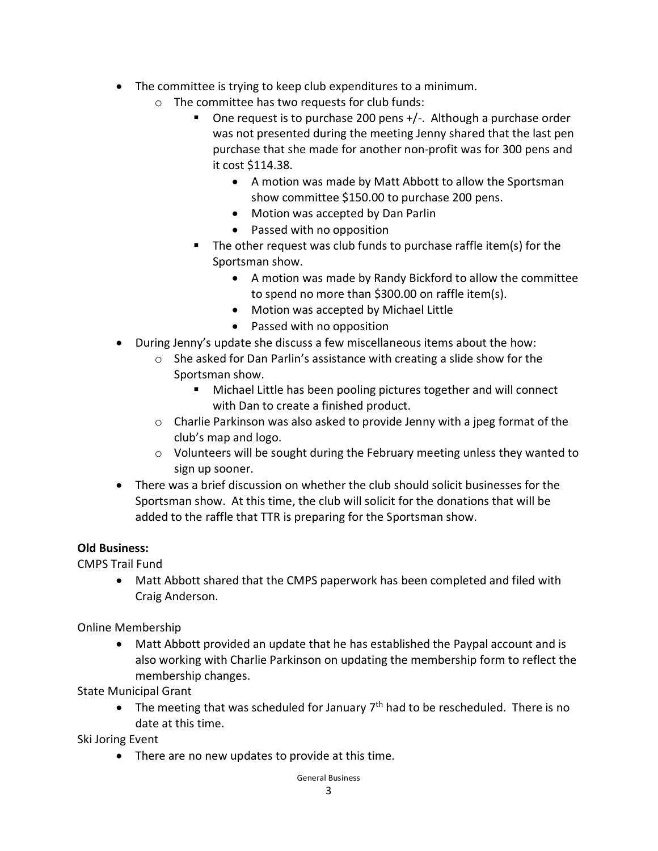- The committee is trying to keep club expenditures to a minimum.
	- $\circ$  The committee has two requests for club funds:
		- One request is to purchase 200 pens +/-. Although a purchase order was not presented during the meeting Jenny shared that the last pen purchase that she made for another non-profit was for 300 pens and it cost \$114.38.
			- A motion was made by Matt Abbott to allow the Sportsman show committee \$150.00 to purchase 200 pens.
			- Motion was accepted by Dan Parlin
			- Passed with no opposition
		- The other request was club funds to purchase raffle item(s) for the Sportsman show.
			- A motion was made by Randy Bickford to allow the committee to spend no more than \$300.00 on raffle item(s).
			- Motion was accepted by Michael Little
			- Passed with no opposition
- During Jenny's update she discuss a few miscellaneous items about the how:
	- o She asked for Dan Parlin's assistance with creating a slide show for the Sportsman show.
		- **Michael Little has been pooling pictures together and will connect** with Dan to create a finished product.
	- $\circ$  Charlie Parkinson was also asked to provide Jenny with a jpeg format of the club's map and logo.
	- $\circ$  Volunteers will be sought during the February meeting unless they wanted to sign up sooner.
- There was a brief discussion on whether the club should solicit businesses for the Sportsman show. At this time, the club will solicit for the donations that will be added to the raffle that TTR is preparing for the Sportsman show.

### **Old Business:**

CMPS Trail Fund

• Matt Abbott shared that the CMPS paperwork has been completed and filed with Craig Anderson.

Online Membership

• Matt Abbott provided an update that he has established the Paypal account and is also working with Charlie Parkinson on updating the membership form to reflect the membership changes.

State Municipal Grant

• The meeting that was scheduled for January  $7<sup>th</sup>$  had to be rescheduled. There is no date at this time.

Ski Joring Event

• There are no new updates to provide at this time.